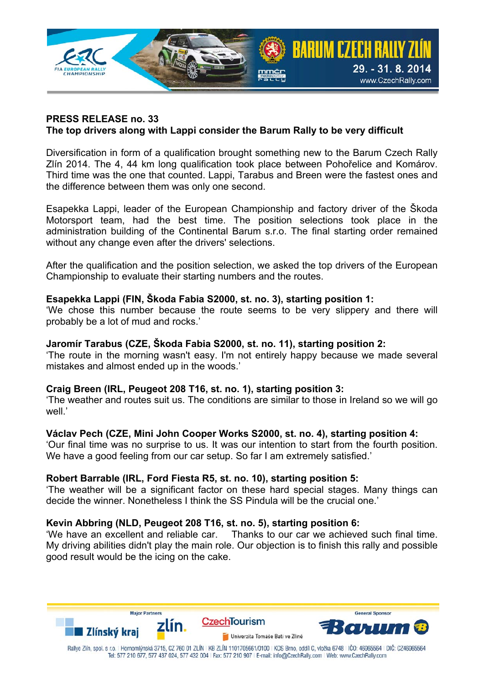

### **PRESS RELEASE no. 33 The top drivers along with Lappi consider the Barum Rally to be very difficult**

Diversification in form of a qualification brought something new to the Barum Czech Rally Zlín 2014. The 4, 44 km long qualification took place between Pohořelice and Komárov. Third time was the one that counted. Lappi, Tarabus and Breen were the fastest ones and the difference between them was only one second.

Esapekka Lappi, leader of the European Championship and factory driver of the Škoda Motorsport team, had the best time. The position selections took place in the administration building of the Continental Barum s.r.o. The final starting order remained without any change even after the drivers' selections.

After the qualification and the position selection, we asked the top drivers of the European Championship to evaluate their starting numbers and the routes.

### **Esapekka Lappi (FIN, Škoda Fabia S2000, st. no. 3), starting position 1:**

'We chose this number because the route seems to be very slippery and there will probably be a lot of mud and rocks.'

#### **Jaromír Tarabus (CZE, Škoda Fabia S2000, st. no. 11), starting position 2:**

'The route in the morning wasn't easy. I'm not entirely happy because we made several mistakes and almost ended up in the woods.'

### **Craig Breen (IRL, Peugeot 208 T16, st. no. 1), starting position 3:**

'The weather and routes suit us. The conditions are similar to those in Ireland so we will go well.'

### **Václav Pech (CZE, Mini John Cooper Works S2000, st. no. 4), starting position 4:**

'Our final time was no surprise to us. It was our intention to start from the fourth position. We have a good feeling from our car setup. So far I am extremely satisfied.'

#### **Robert Barrable (IRL, Ford Fiesta R5, st. no. 10), starting position 5:**

'The weather will be a significant factor on these hard special stages. Many things can decide the winner. Nonetheless I think the SS Pindula will be the crucial one.'

### **Kevin Abbring (NLD, Peugeot 208 T16, st. no. 5), starting position 6:**

'We have an excellent and reliable car. Thanks to our car we achieved such final time. My driving abilities didn't play the main role. Our objection is to finish this rally and possible good result would be the icing on the cake.